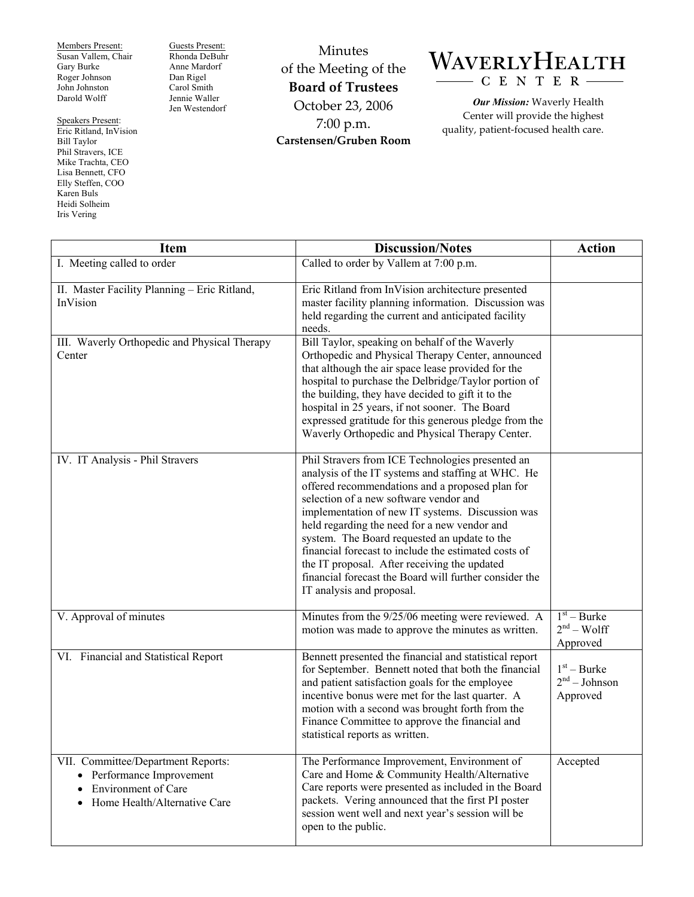Members Present: Susan Vallem, Chair Gary Burke Roger Johnson John Johnston Darold Wolff

Speakers Present: Eric Ritland, InVision Bill Taylor Phil Stravers, ICE Mike Trachta, CEO Lisa Bennett, CFO Elly Steffen, COO Karen Buls Heidi Solheim

Iris Vering

Guests Present: Rhonda DeBuhr Anne Mardorf Dan Rigel Carol Smith Jennie Waller Jen Westendorf

Minutes of the Meeting of the **Board of Trustees**  October 23, 2006 7:00 p.m. **Carstensen/Gruben Room** 

## WAVERLYHEALTH C E N T E R

*Our Mission:* Waverly Health Center will provide the highest quality, patient-focused health care.

| <b>Item</b>                                                                                                                                             | <b>Discussion/Notes</b>                                                                                                                                                                                                                                                                                                                                                                                                                                                                                                                                | <b>Action</b>                                |
|---------------------------------------------------------------------------------------------------------------------------------------------------------|--------------------------------------------------------------------------------------------------------------------------------------------------------------------------------------------------------------------------------------------------------------------------------------------------------------------------------------------------------------------------------------------------------------------------------------------------------------------------------------------------------------------------------------------------------|----------------------------------------------|
| I. Meeting called to order                                                                                                                              | Called to order by Vallem at 7:00 p.m.                                                                                                                                                                                                                                                                                                                                                                                                                                                                                                                 |                                              |
| II. Master Facility Planning - Eric Ritland,<br>InVision                                                                                                | Eric Ritland from InVision architecture presented<br>master facility planning information. Discussion was<br>held regarding the current and anticipated facility<br>needs.                                                                                                                                                                                                                                                                                                                                                                             |                                              |
| III. Waverly Orthopedic and Physical Therapy<br>Center                                                                                                  | Bill Taylor, speaking on behalf of the Waverly<br>Orthopedic and Physical Therapy Center, announced<br>that although the air space lease provided for the<br>hospital to purchase the Delbridge/Taylor portion of<br>the building, they have decided to gift it to the<br>hospital in 25 years, if not sooner. The Board<br>expressed gratitude for this generous pledge from the<br>Waverly Orthopedic and Physical Therapy Center.                                                                                                                   |                                              |
| IV. IT Analysis - Phil Stravers                                                                                                                         | Phil Stravers from ICE Technologies presented an<br>analysis of the IT systems and staffing at WHC. He<br>offered recommendations and a proposed plan for<br>selection of a new software vendor and<br>implementation of new IT systems. Discussion was<br>held regarding the need for a new vendor and<br>system. The Board requested an update to the<br>financial forecast to include the estimated costs of<br>the IT proposal. After receiving the updated<br>financial forecast the Board will further consider the<br>IT analysis and proposal. |                                              |
| V. Approval of minutes                                                                                                                                  | Minutes from the 9/25/06 meeting were reviewed. A<br>motion was made to approve the minutes as written.                                                                                                                                                                                                                                                                                                                                                                                                                                                | $1st - Burke$<br>$2nd - Wolf$<br>Approved    |
| VI. Financial and Statistical Report                                                                                                                    | Bennett presented the financial and statistical report<br>for September. Bennett noted that both the financial<br>and patient satisfaction goals for the employee<br>incentive bonus were met for the last quarter. A<br>motion with a second was brought forth from the<br>Finance Committee to approve the financial and<br>statistical reports as written.                                                                                                                                                                                          | $1st - Burke$<br>$2nd - Johnson$<br>Approved |
| VII. Committee/Department Reports:<br>• Performance Improvement<br><b>Environment of Care</b><br>$\bullet$<br>Home Health/Alternative Care<br>$\bullet$ | The Performance Improvement, Environment of<br>Care and Home & Community Health/Alternative<br>Care reports were presented as included in the Board<br>packets. Vering announced that the first PI poster<br>session went well and next year's session will be<br>open to the public.                                                                                                                                                                                                                                                                  | Accepted                                     |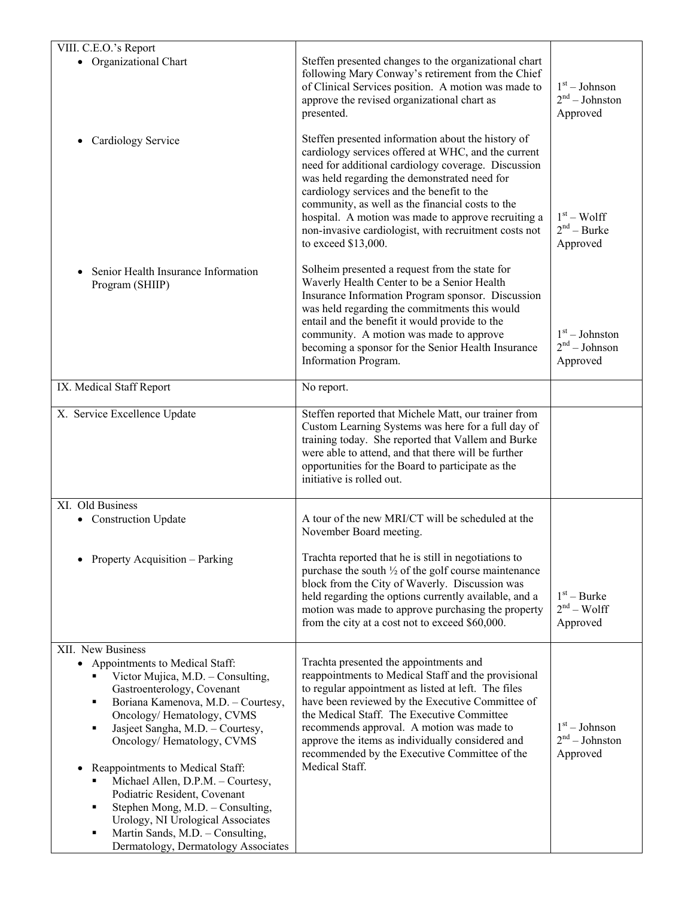| VIII. C.E.O.'s Report                                                                                                                                                                                                                                                                                                                                                                                                                                                                             |                                                                                                                                                                                                                                                                                                                                                                                                                                                           |                                                 |
|---------------------------------------------------------------------------------------------------------------------------------------------------------------------------------------------------------------------------------------------------------------------------------------------------------------------------------------------------------------------------------------------------------------------------------------------------------------------------------------------------|-----------------------------------------------------------------------------------------------------------------------------------------------------------------------------------------------------------------------------------------------------------------------------------------------------------------------------------------------------------------------------------------------------------------------------------------------------------|-------------------------------------------------|
| • Organizational Chart                                                                                                                                                                                                                                                                                                                                                                                                                                                                            | Steffen presented changes to the organizational chart<br>following Mary Conway's retirement from the Chief<br>of Clinical Services position. A motion was made to<br>approve the revised organizational chart as<br>presented.                                                                                                                                                                                                                            | $1st - Johnson$<br>$2nd - Johnston$<br>Approved |
| Cardiology Service                                                                                                                                                                                                                                                                                                                                                                                                                                                                                | Steffen presented information about the history of<br>cardiology services offered at WHC, and the current<br>need for additional cardiology coverage. Discussion<br>was held regarding the demonstrated need for<br>cardiology services and the benefit to the<br>community, as well as the financial costs to the<br>hospital. A motion was made to approve recruiting a<br>non-invasive cardiologist, with recruitment costs not<br>to exceed \$13,000. | $1st - Wolf$<br>$2nd - Burke$<br>Approved       |
| Senior Health Insurance Information<br>Program (SHIIP)                                                                                                                                                                                                                                                                                                                                                                                                                                            | Solheim presented a request from the state for<br>Waverly Health Center to be a Senior Health<br>Insurance Information Program sponsor. Discussion<br>was held regarding the commitments this would<br>entail and the benefit it would provide to the<br>community. A motion was made to approve<br>becoming a sponsor for the Senior Health Insurance<br>Information Program.                                                                            | $1st - Johnston$<br>$2nd - Johnson$<br>Approved |
| IX. Medical Staff Report                                                                                                                                                                                                                                                                                                                                                                                                                                                                          | No report.                                                                                                                                                                                                                                                                                                                                                                                                                                                |                                                 |
| X. Service Excellence Update                                                                                                                                                                                                                                                                                                                                                                                                                                                                      | Steffen reported that Michele Matt, our trainer from<br>Custom Learning Systems was here for a full day of<br>training today. She reported that Vallem and Burke<br>were able to attend, and that there will be further<br>opportunities for the Board to participate as the<br>initiative is rolled out.                                                                                                                                                 |                                                 |
| XI. Old Business<br>• Construction Update                                                                                                                                                                                                                                                                                                                                                                                                                                                         | A tour of the new MRI/CT will be scheduled at the<br>November Board meeting.                                                                                                                                                                                                                                                                                                                                                                              |                                                 |
| Property Acquisition - Parking                                                                                                                                                                                                                                                                                                                                                                                                                                                                    | Trachta reported that he is still in negotiations to<br>purchase the south $\frac{1}{2}$ of the golf course maintenance<br>block from the City of Waverly. Discussion was<br>held regarding the options currently available, and a<br>motion was made to approve purchasing the property<br>from the city at a cost not to exceed \$60,000.                                                                                                               | $1st - Burke$<br>$2nd - Wolf$<br>Approved       |
| XII. New Business<br>• Appointments to Medical Staff:                                                                                                                                                                                                                                                                                                                                                                                                                                             | Trachta presented the appointments and                                                                                                                                                                                                                                                                                                                                                                                                                    |                                                 |
| Victor Mujica, M.D. - Consulting,<br>Gastroenterology, Covenant<br>Boriana Kamenova, M.D. - Courtesy,<br>٠<br>Oncology/Hematology, CVMS<br>Jasjeet Sangha, M.D. - Courtesy,<br>$\blacksquare$<br>Oncology/Hematology, CVMS<br>Reappointments to Medical Staff:<br>Michael Allen, D.P.M. - Courtesy,<br>Podiatric Resident, Covenant<br>Stephen Mong, M.D. - Consulting,<br>٠<br>Urology, NI Urological Associates<br>Martin Sands, M.D. - Consulting,<br>٠<br>Dermatology, Dermatology Associates | reappointments to Medical Staff and the provisional<br>to regular appointment as listed at left. The files<br>have been reviewed by the Executive Committee of<br>the Medical Staff. The Executive Committee<br>recommends approval. A motion was made to<br>approve the items as individually considered and<br>recommended by the Executive Committee of the<br>Medical Staff.                                                                          | $1st - Johnson$<br>$2nd - Johnston$<br>Approved |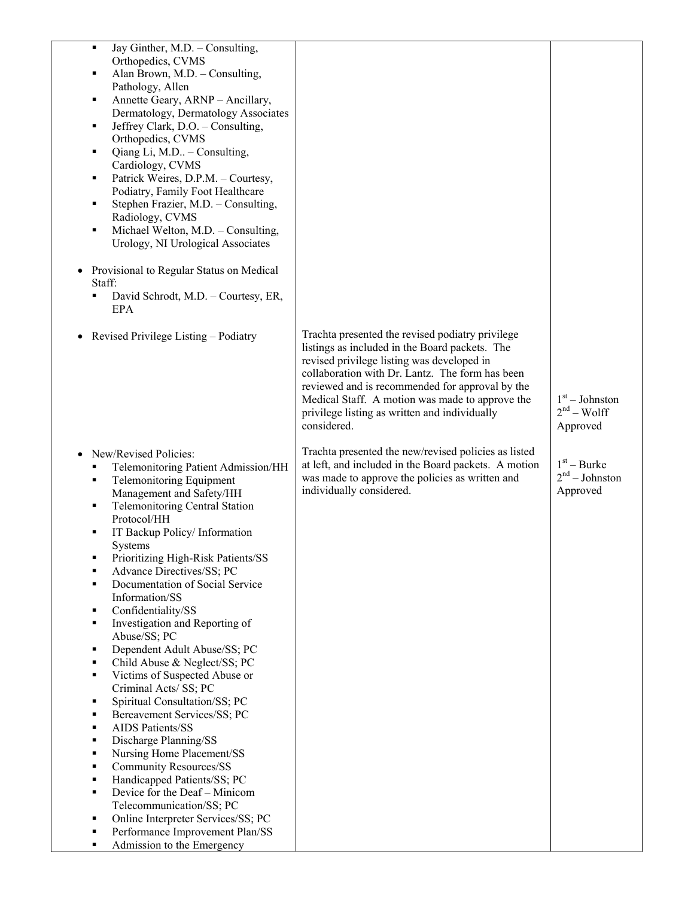| Jay Ginther, M.D. - Consulting,<br>$\blacksquare$<br>Orthopedics, CVMS<br>Alan Brown, M.D. - Consulting,<br>п<br>Pathology, Allen<br>Annette Geary, ARNP - Ancillary,<br>٠<br>Dermatology, Dermatology Associates<br>Jeffrey Clark, D.O. - Consulting,<br>٠<br>Orthopedics, CVMS<br>Qiang Li, M.D - Consulting,<br>٠<br>Cardiology, CVMS<br>Patrick Weires, D.P.M. - Courtesy,<br>٠<br>Podiatry, Family Foot Healthcare<br>Stephen Frazier, M.D. - Consulting,<br>$\blacksquare$<br>Radiology, CVMS<br>Michael Welton, M.D. - Consulting,<br>٠<br>Urology, NI Urological Associates<br>Provisional to Regular Status on Medical<br>Staff:<br>David Schrodt, M.D. - Courtesy, ER,<br>EPA<br>Revised Privilege Listing – Podiatry                                                                                                                                                                                                                                                                                                                                                                         | Trachta presented the revised podiatry privilege<br>listings as included in the Board packets. The<br>revised privilege listing was developed in<br>collaboration with Dr. Lantz. The form has been<br>reviewed and is recommended for approval by the<br>Medical Staff. A motion was made to approve the<br>privilege listing as written and individually | $1st - Johnston$<br>$2nd - Wolf$                          |
|---------------------------------------------------------------------------------------------------------------------------------------------------------------------------------------------------------------------------------------------------------------------------------------------------------------------------------------------------------------------------------------------------------------------------------------------------------------------------------------------------------------------------------------------------------------------------------------------------------------------------------------------------------------------------------------------------------------------------------------------------------------------------------------------------------------------------------------------------------------------------------------------------------------------------------------------------------------------------------------------------------------------------------------------------------------------------------------------------------|------------------------------------------------------------------------------------------------------------------------------------------------------------------------------------------------------------------------------------------------------------------------------------------------------------------------------------------------------------|-----------------------------------------------------------|
| New/Revised Policies:<br>Telemonitoring Patient Admission/HH<br>п<br><b>Telemonitoring Equipment</b><br>п<br>Management and Safety/HH<br><b>Telemonitoring Central Station</b><br>п<br>Protocol/HH<br>IT Backup Policy/Information<br>п<br>Systems<br>Prioritizing High-Risk Patients/SS<br>٠<br>Advance Directives/SS; PC<br>п<br>Documentation of Social Service<br>$\blacksquare$<br>Information/SS<br>Confidentiality/SS<br>٠<br>Investigation and Reporting of<br>п<br>Abuse/SS; PC<br>Dependent Adult Abuse/SS; PC<br>п<br>Child Abuse & Neglect/SS; PC<br>٠<br>Victims of Suspected Abuse or<br>п<br>Criminal Acts/ SS; PC<br>Spiritual Consultation/SS; PC<br>٠<br>Bereavement Services/SS; PC<br>п<br><b>AIDS Patients/SS</b><br>$\blacksquare$<br>Discharge Planning/SS<br>$\blacksquare$<br>Nursing Home Placement/SS<br>в<br><b>Community Resources/SS</b><br>п<br>Handicapped Patients/SS; PC<br>п<br>Device for the Deaf - Minicom<br>п<br>Telecommunication/SS; PC<br>Online Interpreter Services/SS; PC<br>٠<br>Performance Improvement Plan/SS<br>п<br>Admission to the Emergency<br>٠ | considered.<br>Trachta presented the new/revised policies as listed<br>at left, and included in the Board packets. A motion<br>was made to approve the policies as written and<br>individually considered.                                                                                                                                                 | Approved<br>$1st - Burke$<br>$2nd - Johnston$<br>Approved |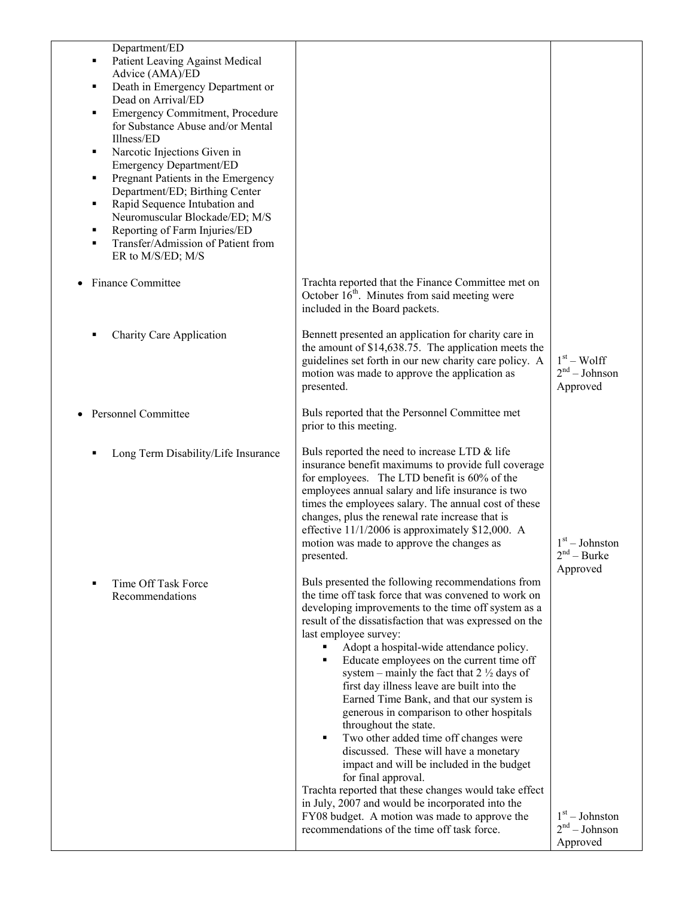| Department/ED<br><b>Patient Leaving Against Medical</b><br>٠<br>Advice (AMA)/ED<br>Death in Emergency Department or<br>٠<br>Dead on Arrival/ED<br><b>Emergency Commitment, Procedure</b><br>٠<br>for Substance Abuse and/or Mental<br>Illness/ED<br>Narcotic Injections Given in<br>٠<br><b>Emergency Department/ED</b><br>Pregnant Patients in the Emergency<br>٠<br>Department/ED; Birthing Center<br>Rapid Sequence Intubation and<br>٠<br>Neuromuscular Blockade/ED; M/S<br>Reporting of Farm Injuries/ED<br>٠<br>Transfer/Admission of Patient from<br>٠<br>ER to M/S/ED; M/S |                                                                                                                                                                                                                                                                                                                                                                                                                                                                                                                                                                                                                                                                                                                                                                                                                                                                                                                                                    |                                                           |
|------------------------------------------------------------------------------------------------------------------------------------------------------------------------------------------------------------------------------------------------------------------------------------------------------------------------------------------------------------------------------------------------------------------------------------------------------------------------------------------------------------------------------------------------------------------------------------|----------------------------------------------------------------------------------------------------------------------------------------------------------------------------------------------------------------------------------------------------------------------------------------------------------------------------------------------------------------------------------------------------------------------------------------------------------------------------------------------------------------------------------------------------------------------------------------------------------------------------------------------------------------------------------------------------------------------------------------------------------------------------------------------------------------------------------------------------------------------------------------------------------------------------------------------------|-----------------------------------------------------------|
| <b>Finance Committee</b>                                                                                                                                                                                                                                                                                                                                                                                                                                                                                                                                                           | Trachta reported that the Finance Committee met on<br>October $16th$ . Minutes from said meeting were<br>included in the Board packets.                                                                                                                                                                                                                                                                                                                                                                                                                                                                                                                                                                                                                                                                                                                                                                                                            |                                                           |
| <b>Charity Care Application</b>                                                                                                                                                                                                                                                                                                                                                                                                                                                                                                                                                    | Bennett presented an application for charity care in<br>the amount of $$14,638.75$ . The application meets the<br>guidelines set forth in our new charity care policy. A<br>motion was made to approve the application as<br>presented.                                                                                                                                                                                                                                                                                                                                                                                                                                                                                                                                                                                                                                                                                                            | $1st - Wolf$<br>$2nd - Johnson$<br>Approved               |
| <b>Personnel Committee</b>                                                                                                                                                                                                                                                                                                                                                                                                                                                                                                                                                         | Buls reported that the Personnel Committee met<br>prior to this meeting.                                                                                                                                                                                                                                                                                                                                                                                                                                                                                                                                                                                                                                                                                                                                                                                                                                                                           |                                                           |
| Long Term Disability/Life Insurance                                                                                                                                                                                                                                                                                                                                                                                                                                                                                                                                                | Buls reported the need to increase LTD & life<br>insurance benefit maximums to provide full coverage<br>for employees. The LTD benefit is 60% of the<br>employees annual salary and life insurance is two<br>times the employees salary. The annual cost of these<br>changes, plus the renewal rate increase that is<br>effective $11/1/2006$ is approximately \$12,000. A<br>motion was made to approve the changes as<br>presented.                                                                                                                                                                                                                                                                                                                                                                                                                                                                                                              | $1st - Johnston$<br>$2nd - Burke$<br>Approved             |
| Time Off Task Force<br>Recommendations                                                                                                                                                                                                                                                                                                                                                                                                                                                                                                                                             | Buls presented the following recommendations from<br>the time off task force that was convened to work on<br>developing improvements to the time off system as a<br>result of the dissatisfaction that was expressed on the<br>last employee survey:<br>Adopt a hospital-wide attendance policy.<br>Educate employees on the current time off<br>٠<br>system – mainly the fact that $2\frac{1}{2}$ days of<br>first day illness leave are built into the<br>Earned Time Bank, and that our system is<br>generous in comparison to other hospitals<br>throughout the state.<br>Two other added time off changes were<br>٠<br>discussed. These will have a monetary<br>impact and will be included in the budget<br>for final approval.<br>Trachta reported that these changes would take effect<br>in July, 2007 and would be incorporated into the<br>FY08 budget. A motion was made to approve the<br>recommendations of the time off task force. | $1st - Johnston$<br>2 <sup>nd</sup> – Johnson<br>Approved |